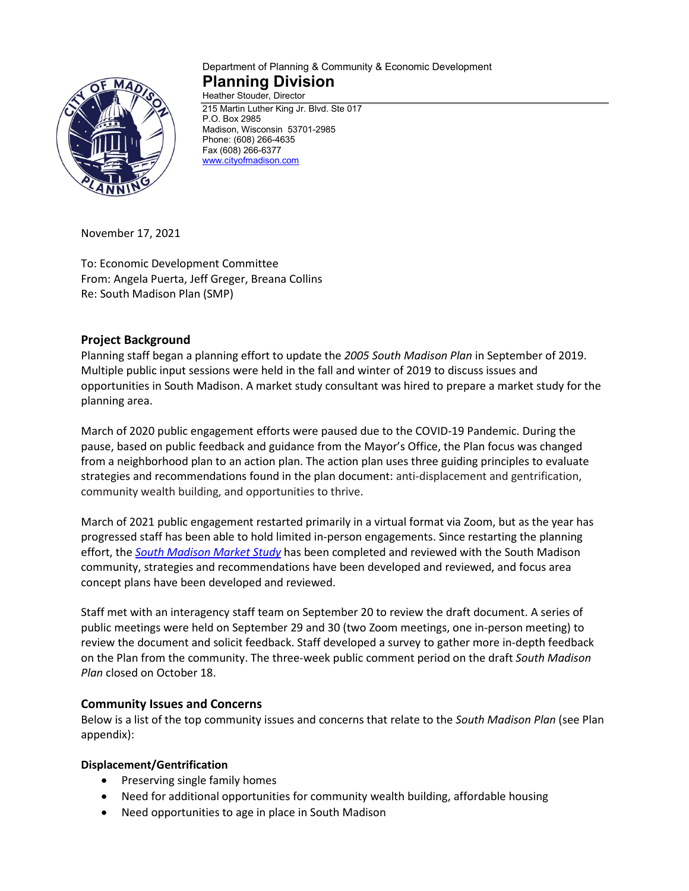

#### Department of Planning & Community & Economic Development **Planning Division** Heather Stouder, Director

215 Martin Luther King Jr. Blvd. Ste 017 P.O. Box 2985 Madison, Wisconsin 53701-2985 Phone: (608) 266-4635 Fax (608) 266-6377 [www.cityofmadison.com](http://www.cityofmadison.com/)

November 17, 2021

To: Economic Development Committee From: Angela Puerta, Jeff Greger, Breana Collins Re: South Madison Plan (SMP)

## **Project Background**

Planning staff began a planning effort to update the *2005 South Madison Plan* in September of 2019. Multiple public input sessions were held in the fall and winter of 2019 to discuss issues and opportunities in South Madison. A market study consultant was hired to prepare a market study for the planning area.

March of 2020 public engagement efforts were paused due to the COVID-19 Pandemic. During the pause, based on public feedback and guidance from the Mayor's Office, the Plan focus was changed from a neighborhood plan to an action plan. The action plan uses three guiding principles to evaluate strategies and recommendations found in the plan document: anti-displacement and gentrification, community wealth building, and opportunities to thrive.

March of 2021 public engagement restarted primarily in a virtual format via Zoom, but as the year has progressed staff has been able to hold limited in-person engagements. Since restarting the planning effort, the *[South Madison Market Study](https://www.cityofmadison.com/dpced/planning/documents/South%20Madison%20Market%20Study_V12.pdf)* has been completed and reviewed with the South Madison community, strategies and recommendations have been developed and reviewed, and focus area concept plans have been developed and reviewed.

Staff met with an interagency staff team on September 20 to review the draft document. A series of public meetings were held on September 29 and 30 (two Zoom meetings, one in-person meeting) to review the document and solicit feedback. Staff developed a survey to gather more in-depth feedback on the Plan from the community. The three-week public comment period on the draft *South Madison Plan* closed on October 18.

## **Community Issues and Concerns**

Below is a list of the top community issues and concerns that relate to the *South Madison Plan* (see Plan appendix):

## **Displacement/Gentrification**

- Preserving single family homes
- Need for additional opportunities for community wealth building, affordable housing
- Need opportunities to age in place in South Madison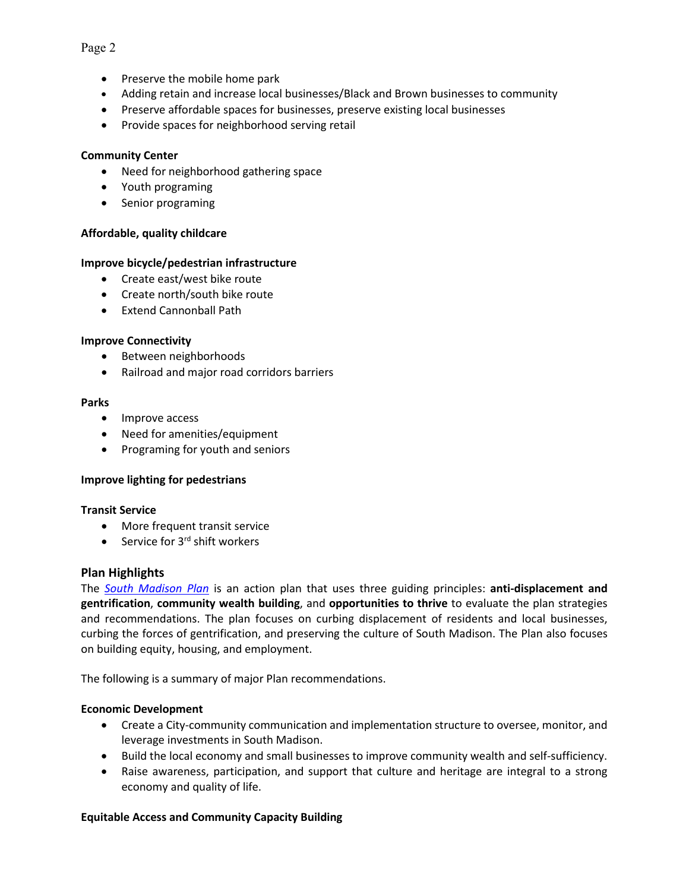## • Preserve the mobile home park

- Adding retain and increase local businesses/Black and Brown businesses to community
- Preserve affordable spaces for businesses, preserve existing local businesses
- Provide spaces for neighborhood serving retail

### **Community Center**

- Need for neighborhood gathering space
- Youth programing
- Senior programing

### **Affordable, quality childcare**

### **Improve bicycle/pedestrian infrastructure**

- Create east/west bike route
- Create north/south bike route
- Extend Cannonball Path

#### **Improve Connectivity**

- Between neighborhoods
- Railroad and major road corridors barriers

#### **Parks**

- Improve access
- Need for amenities/equipment
- Programing for youth and seniors

#### **Improve lighting for pedestrians**

#### **Transit Service**

- More frequent transit service
- Service for  $3<sup>rd</sup>$  shift workers

### **Plan Highlights**

The *[South Madison Plan](https://madison.legistar.com/View.ashx?M=F&ID=9917126&GUID=B0416AA6-47A9-43E5-AF83-0DF43F2A5656)* is an action plan that uses three guiding principles: **anti-displacement and gentrification**, **community wealth building**, and **opportunities to thrive** to evaluate the plan strategies and recommendations. The plan focuses on curbing displacement of residents and local businesses, curbing the forces of gentrification, and preserving the culture of South Madison. The Plan also focuses on building equity, housing, and employment.

The following is a summary of major Plan recommendations.

#### **Economic Development**

- Create a City-community communication and implementation structure to oversee, monitor, and leverage investments in South Madison.
- Build the local economy and small businesses to improve community wealth and self-sufficiency.
- Raise awareness, participation, and support that culture and heritage are integral to a strong economy and quality of life.

#### **Equitable Access and Community Capacity Building**

#### Page 2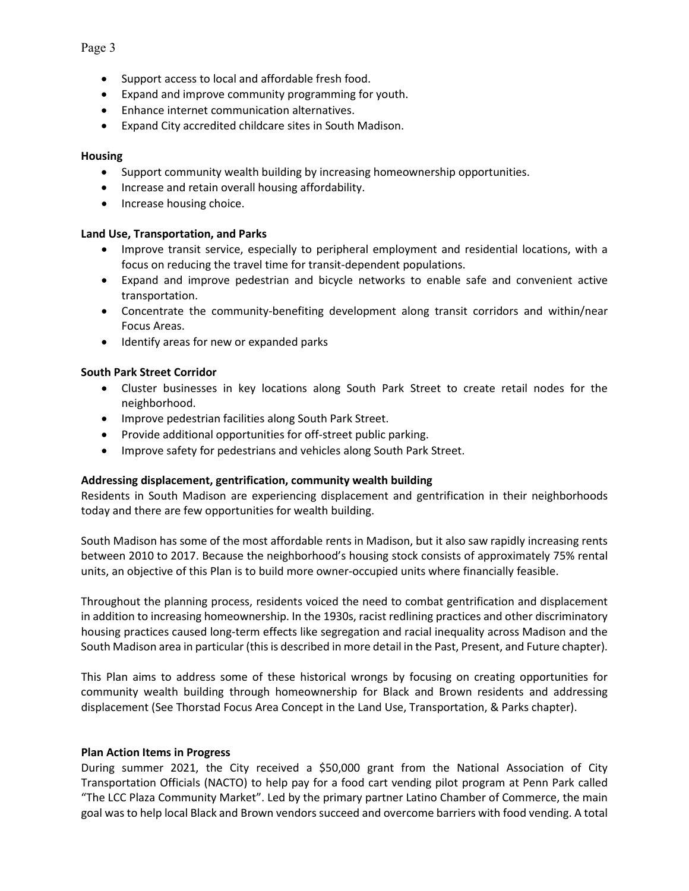- Support access to local and affordable fresh food.
- Expand and improve community programming for youth.
- Enhance internet communication alternatives.
- Expand City accredited childcare sites in South Madison.

# **Housing**

- Support community wealth building by increasing homeownership opportunities.
- Increase and retain overall housing affordability.
- Increase housing choice.

# **Land Use, Transportation, and Parks**

- Improve transit service, especially to peripheral employment and residential locations, with a focus on reducing the travel time for transit-dependent populations.
- Expand and improve pedestrian and bicycle networks to enable safe and convenient active transportation.
- Concentrate the community-benefiting development along transit corridors and within/near Focus Areas.
- Identify areas for new or expanded parks

# **South Park Street Corridor**

- Cluster businesses in key locations along South Park Street to create retail nodes for the neighborhood.
- Improve pedestrian facilities along South Park Street.
- Provide additional opportunities for off-street public parking.
- Improve safety for pedestrians and vehicles along South Park Street.

# **Addressing displacement, gentrification, community wealth building**

Residents in South Madison are experiencing displacement and gentrification in their neighborhoods today and there are few opportunities for wealth building.

South Madison has some of the most affordable rents in Madison, but it also saw rapidly increasing rents between 2010 to 2017. Because the neighborhood's housing stock consists of approximately 75% rental units, an objective of this Plan is to build more owner-occupied units where financially feasible.

Throughout the planning process, residents voiced the need to combat gentrification and displacement in addition to increasing homeownership. In the 1930s, racist redlining practices and other discriminatory housing practices caused long-term effects like segregation and racial inequality across Madison and the South Madison area in particular (this is described in more detail in the Past, Present, and Future chapter).

This Plan aims to address some of these historical wrongs by focusing on creating opportunities for community wealth building through homeownership for Black and Brown residents and addressing displacement (See Thorstad Focus Area Concept in the Land Use, Transportation, & Parks chapter).

# **Plan Action Items in Progress**

During summer 2021, the City received a \$50,000 grant from the National Association of City Transportation Officials (NACTO) to help pay for a food cart vending pilot program at Penn Park called "The LCC Plaza Community Market". Led by the primary partner Latino Chamber of Commerce, the main goal was to help local Black and Brown vendors succeed and overcome barriers with food vending. A total